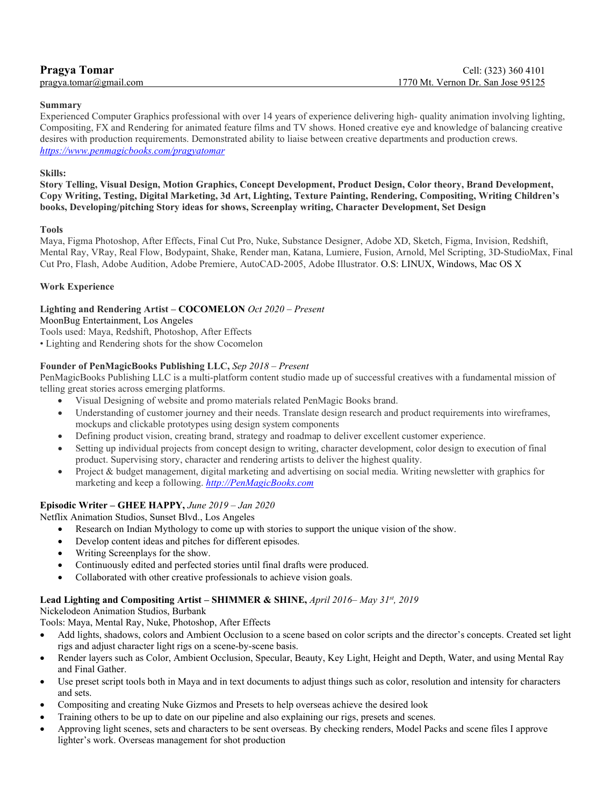| <b>Pragya Tomar</b>              | Cell: (323) 360 4101               |
|----------------------------------|------------------------------------|
| $pragya.tomar(\omega gmail.com)$ | 1770 Mt. Vernon Dr. San Jose 95125 |
|                                  |                                    |

#### **Summary**

Experienced Computer Graphics professional with over 14 years of experience delivering high- quality animation involving lighting, Compositing, FX and Rendering for animated feature films and TV shows. Honed creative eye and knowledge of balancing creative desires with production requirements. Demonstrated ability to liaise between creative departments and production crews. *<https://www.penmagicbooks.com/pragyatomar>*

## **Skills:**

**Story Telling, Visual Design, Motion Graphics, Concept Development, Product Design, Color theory, Brand Development, Copy Writing, Testing, Digital Marketing, 3d Art, Lighting, Texture Painting, Rendering, Compositing, Writing Children's books, Developing/pitching Story ideas for shows, Screenplay writing, Character Development, Set Design**

#### **Tools**

Maya, Figma Photoshop, After Effects, Final Cut Pro, Nuke, Substance Designer, Adobe XD, Sketch, Figma, Invision, Redshift, Mental Ray, VRay, Real Flow, Bodypaint, Shake, Render man, Katana, Lumiere, Fusion, Arnold, Mel Scripting, 3D-StudioMax, Final Cut Pro, Flash, Adobe Audition, Adobe Premiere, AutoCAD-2005, Adobe Illustrator. O.S: LINUX, Windows, Mac OS X

## **Work Experience**

# **Lighting and Rendering Artist – COCOMELON** *Oct 2020 – Present*

MoonBug Entertainment, Los Angeles

Tools used: Maya, Redshift, Photoshop, After Effects

• Lighting and Rendering shots for the show Cocomelon

# **Founder of PenMagicBooks Publishing LLC,** *Sep 2018 – Present*

PenMagicBooks Publishing LLC is a multi-platform content studio made up of successful creatives with a fundamental mission of telling great stories across emerging platforms.

- Visual Designing of website and promo materials related PenMagic Books brand.
- Understanding of customer journey and their needs. Translate design research and product requirements into wireframes, mockups and clickable prototypes using design system components
- Defining product vision, creating brand, strategy and roadmap to deliver excellent customer experience.
- Setting up individual projects from concept design to writing, character development, color design to execution of final product. Supervising story, character and rendering artists to deliver the highest quality.
- Project & budget management, digital marketing and advertising on social media. Writing newsletter with graphics for marketing and keep a following. *[http://PenMagicBooks.com](http://penmagicbooks.com/)*

# **Episodic Writer – GHEE HAPPY,** *June 2019 – Jan 2020*

Netflix Animation Studios, Sunset Blvd., Los Angeles

- Research on Indian Mythology to come up with stories to support the unique vision of the show.
- Develop content ideas and pitches for different episodes.
- Writing Screenplays for the show.
- Continuously edited and perfected stories until final drafts were produced.
- Collaborated with other creative professionals to achieve vision goals.

#### **Lead Lighting and Compositing Artist – SHIMMER & SHINE,** *April 2016– May 31st, 2019*

Nickelodeon Animation Studios, Burbank

Tools: Maya, Mental Ray, Nuke, Photoshop, After Effects

- Add lights, shadows, colors and Ambient Occlusion to a scene based on color scripts and the director's concepts. Created set light rigs and adjust character light rigs on a scene-by-scene basis.
- Render layers such as Color, Ambient Occlusion, Specular, Beauty, Key Light, Height and Depth, Water, and using Mental Ray and Final Gather.
- Use preset script tools both in Maya and in text documents to adjust things such as color, resolution and intensity for characters and sets.
- Compositing and creating Nuke Gizmos and Presets to help overseas achieve the desired look
- Training others to be up to date on our pipeline and also explaining our rigs, presets and scenes.
- Approving light scenes, sets and characters to be sent overseas. By checking renders, Model Packs and scene files I approve lighter's work. Overseas management for shot production